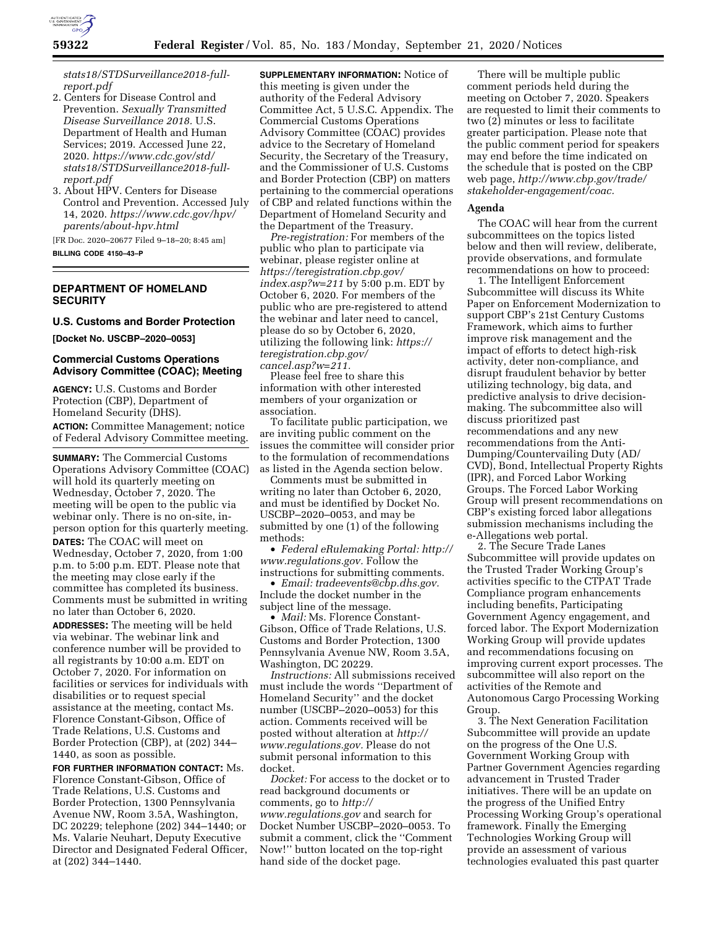

*[stats18/STDSurveillance2018-full](https://www.cdc.gov/std/stats18/STDSurveillance2018-full-report)[report.pdf](https://www.cdc.gov/std/stats18/STDSurveillance2018-full-report)* 

- 2. Centers for Disease Control and Prevention. *Sexually Transmitted Disease Surveillance 2018.* U.S. Department of Health and Human Services; 2019. Accessed June 22, 2020. *[https://www.cdc.gov/std/](https://www.cdc.gov/std/stats18/STDSurveillance2018-full-report.pdf) [stats18/STDSurveillance2018-full](https://www.cdc.gov/std/stats18/STDSurveillance2018-full-report.pdf)[report.pdf](https://www.cdc.gov/std/stats18/STDSurveillance2018-full-report.pdf)*
- 3. About HPV. Centers for Disease Control and Prevention. Accessed July 14, 2020. *[https://www.cdc.gov/hpv/](https://www.cdc.gov/hpv/parents/about-hpv.html) [parents/about-hpv.html](https://www.cdc.gov/hpv/parents/about-hpv.html)*

[FR Doc. 2020–20677 Filed 9–18–20; 8:45 am] **BILLING CODE 4150–43–P** 

# **DEPARTMENT OF HOMELAND SECURITY**

## **U.S. Customs and Border Protection**

**[Docket No. USCBP–2020–0053]** 

### **Commercial Customs Operations Advisory Committee (COAC); Meeting**

**AGENCY:** U.S. Customs and Border Protection (CBP), Department of Homeland Security (DHS). **ACTION:** Committee Management; notice of Federal Advisory Committee meeting.

**SUMMARY:** The Commercial Customs Operations Advisory Committee (COAC) will hold its quarterly meeting on Wednesday, October 7, 2020. The meeting will be open to the public via webinar only. There is no on-site, inperson option for this quarterly meeting. **DATES:** The COAC will meet on Wednesday, October 7, 2020, from 1:00 p.m. to 5:00 p.m. EDT. Please note that the meeting may close early if the committee has completed its business. Comments must be submitted in writing no later than October 6, 2020.

**ADDRESSES:** The meeting will be held via webinar. The webinar link and conference number will be provided to all registrants by 10:00 a.m. EDT on October 7, 2020. For information on facilities or services for individuals with disabilities or to request special assistance at the meeting, contact Ms. Florence Constant-Gibson, Office of Trade Relations, U.S. Customs and Border Protection (CBP), at (202) 344– 1440, as soon as possible.

**FOR FURTHER INFORMATION CONTACT:** Ms. Florence Constant-Gibson, Office of Trade Relations, U.S. Customs and Border Protection, 1300 Pennsylvania Avenue NW, Room 3.5A, Washington, DC 20229; telephone (202) 344–1440; or Ms. Valarie Neuhart, Deputy Executive Director and Designated Federal Officer, at (202) 344–1440.

**SUPPLEMENTARY INFORMATION:** Notice of this meeting is given under the authority of the Federal Advisory Committee Act, 5 U.S.C. Appendix. The Commercial Customs Operations Advisory Committee (COAC) provides advice to the Secretary of Homeland Security, the Secretary of the Treasury, and the Commissioner of U.S. Customs and Border Protection (CBP) on matters pertaining to the commercial operations of CBP and related functions within the Department of Homeland Security and the Department of the Treasury.

*Pre-registration:* For members of the public who plan to participate via webinar, please register online at *[https://teregistration.cbp.gov/](https://teregistration.cbp.gov/index.asp?w=211)  [index.asp?w=211](https://teregistration.cbp.gov/index.asp?w=211)* by 5:00 p.m. EDT by October 6, 2020. For members of the public who are pre-registered to attend the webinar and later need to cancel, please do so by October 6, 2020, utilizing the following link: *[https://](https://teregistration.cbp.gov/cancel.asp?w=211) [teregistration.cbp.gov/](https://teregistration.cbp.gov/cancel.asp?w=211) [cancel.asp?w=211.](https://teregistration.cbp.gov/cancel.asp?w=211)* 

Please feel free to share this information with other interested members of your organization or association.

To facilitate public participation, we are inviting public comment on the issues the committee will consider prior to the formulation of recommendations as listed in the Agenda section below.

Comments must be submitted in writing no later than October 6, 2020, and must be identified by Docket No. USCBP–2020–0053, and may be submitted by one (1) of the following methods:

• *Federal eRulemaking Portal: [http://](http://www.regulations.gov)  [www.regulations.gov.](http://www.regulations.gov)* Follow the instructions for submitting comments.

• *Email: [tradeevents@cbp.dhs.gov.](mailto:tradeevents@cbp.dhs.gov)*  Include the docket number in the subject line of the message.

• *Mail:* Ms. Florence Constant-Gibson, Office of Trade Relations, U.S. Customs and Border Protection, 1300 Pennsylvania Avenue NW, Room 3.5A, Washington, DC 20229.

*Instructions:* All submissions received must include the words ''Department of Homeland Security'' and the docket number (USCBP–2020–0053) for this action. Comments received will be posted without alteration at *[http://](http://www.regulations.gov) [www.regulations.gov.](http://www.regulations.gov)* Please do not submit personal information to this docket.

*Docket:* For access to the docket or to read background documents or comments, go to *[http://](http://www.regulations.gov) [www.regulations.gov](http://www.regulations.gov)* and search for Docket Number USCBP–2020–0053. To submit a comment, click the ''Comment Now!'' button located on the top-right hand side of the docket page.

There will be multiple public comment periods held during the meeting on October 7, 2020. Speakers are requested to limit their comments to two (2) minutes or less to facilitate greater participation. Please note that the public comment period for speakers may end before the time indicated on the schedule that is posted on the CBP web page, *[http://www.cbp.gov/trade/](http://www.cbp.gov/trade/stakeholder-engagement/coac) [stakeholder-engagement/coac.](http://www.cbp.gov/trade/stakeholder-engagement/coac)* 

#### **Agenda**

The COAC will hear from the current subcommittees on the topics listed below and then will review, deliberate, provide observations, and formulate recommendations on how to proceed:

1. The Intelligent Enforcement Subcommittee will discuss its White Paper on Enforcement Modernization to support CBP's 21st Century Customs Framework, which aims to further improve risk management and the impact of efforts to detect high-risk activity, deter non-compliance, and disrupt fraudulent behavior by better utilizing technology, big data, and predictive analysis to drive decisionmaking. The subcommittee also will discuss prioritized past recommendations and any new recommendations from the Anti-Dumping/Countervailing Duty (AD/ CVD), Bond, Intellectual Property Rights (IPR), and Forced Labor Working Groups. The Forced Labor Working Group will present recommendations on CBP's existing forced labor allegations submission mechanisms including the e-Allegations web portal.

2. The Secure Trade Lanes Subcommittee will provide updates on the Trusted Trader Working Group's activities specific to the CTPAT Trade Compliance program enhancements including benefits, Participating Government Agency engagement, and forced labor. The Export Modernization Working Group will provide updates and recommendations focusing on improving current export processes. The subcommittee will also report on the activities of the Remote and Autonomous Cargo Processing Working Group.

3. The Next Generation Facilitation Subcommittee will provide an update on the progress of the One U.S. Government Working Group with Partner Government Agencies regarding advancement in Trusted Trader initiatives. There will be an update on the progress of the Unified Entry Processing Working Group's operational framework. Finally the Emerging Technologies Working Group will provide an assessment of various technol[ogies evaluated this past q](https://www.cdc.gov/std/stats18/STDSurveillance2018-full-report)uarter